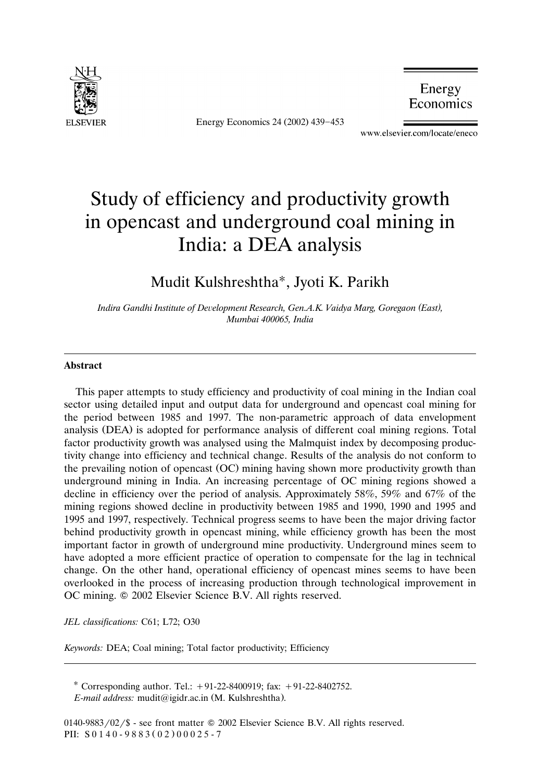

Energy Economics 24 (2002) 439-453

Energy Economics

www.elsevier.com/locate/eneco

# Study of efficiency and productivity growth in opencast and underground coal mining in India: a DEA analysis

### Mudit Kulshreshtha\*, Jyoti K. Parikh

*Indira Gandhi Institute of Deelopment Research, Gen.A.K. Vaidya Marg, Goregaon East , ( ) Mumbai 400065, India*

#### **Abstract**

This paper attempts to study efficiency and productivity of coal mining in the Indian coal sector using detailed input and output data for underground and opencast coal mining for the period between 1985 and 1997. The non-parametric approach of data envelopment analysis (DEA) is adopted for performance analysis of different coal mining regions. Total factor productivity growth was analysed using the Malmquist index by decomposing productivity change into efficiency and technical change. Results of the analysis do not conform to the prevailing notion of opencast (OC) mining having shown more productivity growth than underground mining in India. An increasing percentage of OC mining regions showed a decline in efficiency over the period of analysis. Approximately 58%, 59% and 67% of the mining regions showed decline in productivity between 1985 and 1990, 1990 and 1995 and 1995 and 1997, respectively. Technical progress seems to have been the major driving factor behind productivity growth in opencast mining, while efficiency growth has been the most important factor in growth of underground mine productivity. Underground mines seem to have adopted a more efficient practice of operation to compensate for the lag in technical change. On the other hand, operational efficiency of opencast mines seems to have been overlooked in the process of increasing production through technological improvement in OC mining.  $\oslash$  2002 Elsevier Science B.V. All rights reserved.

*JEL classifications:* C61; L72; O30

*Keywords:* DEA; Coal mining; Total factor productivity; Efficiency

Corresponding author. Tel.: -91-22-8400919; fax: -91-22-8402752.

*E-mail address:* mudit@igidr.ac.in (M. Kulshreshtha).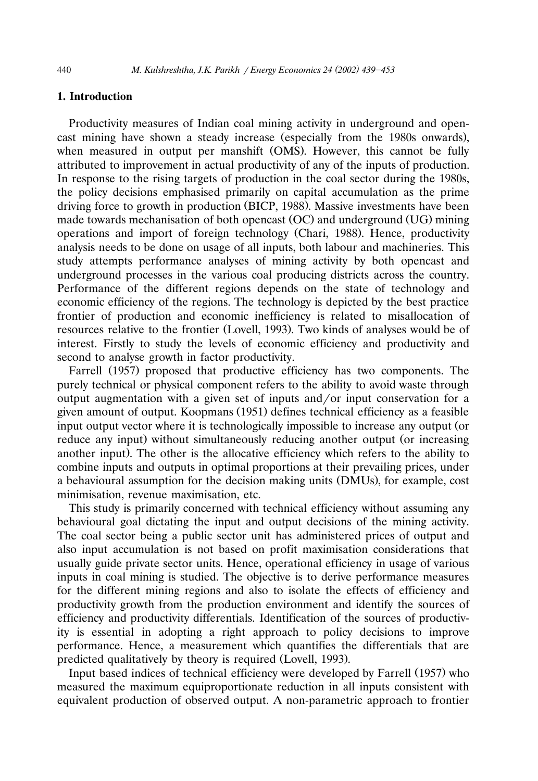#### **1. Introduction**

Productivity measures of Indian coal mining activity in underground and opencast mining have shown a steady increase (especially from the 1980s onwards), when measured in output per manshift (OMS). However, this cannot be fully attributed to improvement in actual productivity of any of the inputs of production. In response to the rising targets of production in the coal sector during the 1980s, the policy decisions emphasised primarily on capital accumulation as the prime driving force to growth in production (BICP, 1988). Massive investments have been made towards mechanisation of both opencast  $(OC)$  and underground  $(UG)$  mining operations and import of foreign technology (Chari, 1988). Hence, productivity analysis needs to be done on usage of all inputs, both labour and machineries. This study attempts performance analyses of mining activity by both opencast and underground processes in the various coal producing districts across the country. Performance of the different regions depends on the state of technology and economic efficiency of the regions. The technology is depicted by the best practice frontier of production and economic inefficiency is related to misallocation of resources relative to the frontier (Lovell, 1993). Two kinds of analyses would be of interest. Firstly to study the levels of economic efficiency and productivity and second to analyse growth in factor productivity.

Farrell (1957) proposed that productive efficiency has two components. The purely technical or physical component refers to the ability to avoid waste through output augmentation with a given set of inputs and/or input conservation for a given amount of output. Koopmans (1951) defines technical efficiency as a feasible input output vector where it is technologically impossible to increase any output (or reduce any input) without simultaneously reducing another output (or increasing another input). The other is the allocative efficiency which refers to the ability to combine inputs and outputs in optimal proportions at their prevailing prices, under a behavioural assumption for the decision making units (DMUs), for example, cost minimisation, revenue maximisation, etc.

This study is primarily concerned with technical efficiency without assuming any behavioural goal dictating the input and output decisions of the mining activity. The coal sector being a public sector unit has administered prices of output and also input accumulation is not based on profit maximisation considerations that usually guide private sector units. Hence, operational efficiency in usage of various inputs in coal mining is studied. The objective is to derive performance measures for the different mining regions and also to isolate the effects of efficiency and productivity growth from the production environment and identify the sources of efficiency and productivity differentials. Identification of the sources of productivity is essential in adopting a right approach to policy decisions to improve performance. Hence, a measurement which quantifies the differentials that are predicted qualitatively by theory is required (Lovell, 1993).

Input based indices of technical efficiency were developed by Farrell (1957) who measured the maximum equiproportionate reduction in all inputs consistent with equivalent production of observed output. A non-parametric approach to frontier